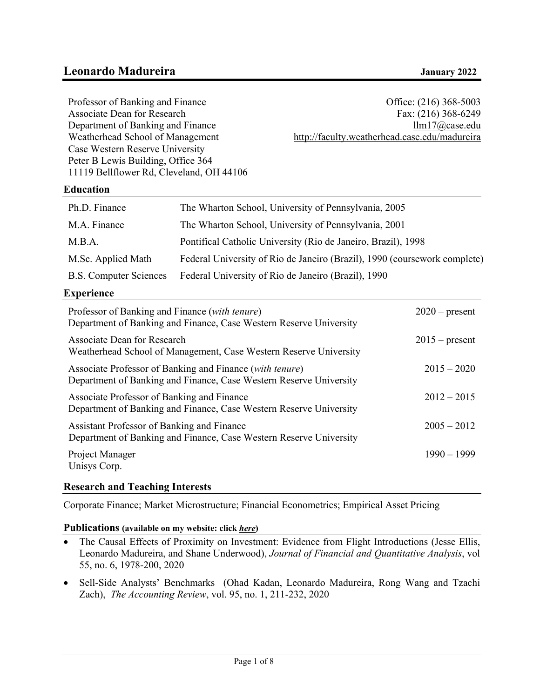| Professor of Banking and Finance         | Office: (216) 368-5003                        |
|------------------------------------------|-----------------------------------------------|
| <b>Associate Dean for Research</b>       | Fax: (216) 368-6249                           |
| Department of Banking and Finance        | $llm17$ (a) case .edu                         |
| Weatherhead School of Management         | http://faculty.weatherhead.case.edu/madureira |
| Case Western Reserve University          |                                               |
| Peter B Lewis Building, Office 364       |                                               |
| 11119 Bellflower Rd, Cleveland, OH 44106 |                                               |
|                                          |                                               |

## **Education**

| Ph.D. Finance                 | The Wharton School, University of Pennsylvania, 2005                      |
|-------------------------------|---------------------------------------------------------------------------|
| M.A. Finance                  | The Wharton School, University of Pennsylvania, 2001                      |
| M.B.A.                        | Pontifical Catholic University (Rio de Janeiro, Brazil), 1998             |
| M.Sc. Applied Math            | Federal University of Rio de Janeiro (Brazil), 1990 (coursework complete) |
| <b>B.S. Computer Sciences</b> | Federal University of Rio de Janeiro (Brazil), 1990                       |

## **Experience**

| Professor of Banking and Finance (with tenure)<br>Department of Banking and Finance, Case Western Reserve University           | $2020$ – present |
|--------------------------------------------------------------------------------------------------------------------------------|------------------|
| Associate Dean for Research<br>Weatherhead School of Management, Case Western Reserve University                               | $2015$ – present |
| Associate Professor of Banking and Finance (with tenure)<br>Department of Banking and Finance, Case Western Reserve University | $2015 - 2020$    |
| Associate Professor of Banking and Finance<br>Department of Banking and Finance, Case Western Reserve University               | $2012 - 2015$    |
| Assistant Professor of Banking and Finance<br>Department of Banking and Finance, Case Western Reserve University               | $2005 - 2012$    |
| Project Manager<br>Unisys Corp.                                                                                                | $1990 - 1999$    |

## **Research and Teaching Interests**

Corporate Finance; Market Microstructure; Financial Econometrics; Empirical Asset Pricing

### **Publications (available on my website: click** *here***)**

- The Causal Effects of Proximity on Investment: Evidence from Flight Introductions (Jesse Ellis, Leonardo Madureira, and Shane Underwood), *Journal of Financial and Quantitative Analysis*, vol 55, no. 6, 1978-200, 2020
- Sell-Side Analysts' Benchmarks (Ohad Kadan, Leonardo Madureira, Rong Wang and Tzachi Zach), *The Accounting Review*, vol. 95, no. 1, 211-232, 2020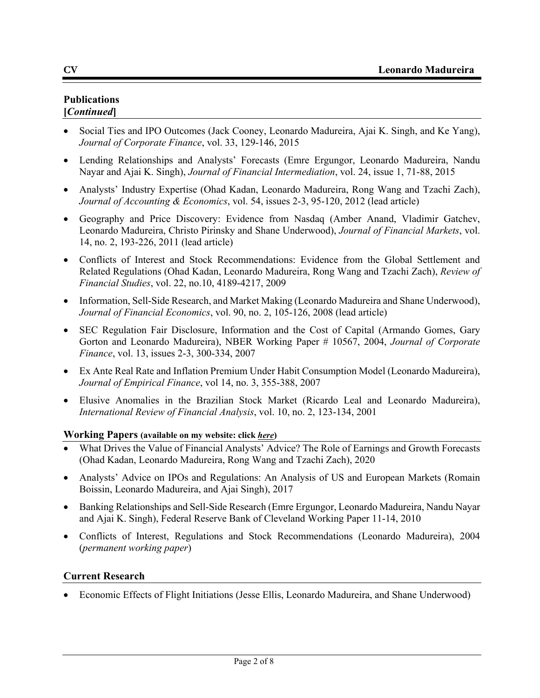#### **Publications [***Continued***]**

- Social Ties and IPO Outcomes (Jack Cooney, Leonardo Madureira, Ajai K. Singh, and Ke Yang), *Journal of Corporate Finance*, vol. 33, 129-146, 2015
- Lending Relationships and Analysts' Forecasts (Emre Ergungor, Leonardo Madureira, Nandu Nayar and Ajai K. Singh), *Journal of Financial Intermediation*, vol. 24, issue 1, 71-88, 2015
- Analysts' Industry Expertise (Ohad Kadan, Leonardo Madureira, Rong Wang and Tzachi Zach), *Journal of Accounting & Economics*, vol. 54, issues 2-3, 95-120, 2012 (lead article)
- Geography and Price Discovery: Evidence from Nasdaq (Amber Anand, Vladimir Gatchev, Leonardo Madureira, Christo Pirinsky and Shane Underwood), *Journal of Financial Markets*, vol. 14, no. 2, 193-226, 2011 (lead article)
- Conflicts of Interest and Stock Recommendations: Evidence from the Global Settlement and Related Regulations (Ohad Kadan, Leonardo Madureira, Rong Wang and Tzachi Zach), *Review of Financial Studies*, vol. 22, no.10, 4189-4217, 2009
- Information, Sell-Side Research, and Market Making (Leonardo Madureira and Shane Underwood), *Journal of Financial Economics*, vol. 90, no. 2, 105-126, 2008 (lead article)
- SEC Regulation Fair Disclosure, Information and the Cost of Capital (Armando Gomes, Gary Gorton and Leonardo Madureira), NBER Working Paper # 10567, 2004, *Journal of Corporate Finance*, vol. 13, issues 2-3, 300-334, 2007
- Ex Ante Real Rate and Inflation Premium Under Habit Consumption Model (Leonardo Madureira), *Journal of Empirical Finance*, vol 14, no. 3, 355-388, 2007
- Elusive Anomalies in the Brazilian Stock Market (Ricardo Leal and Leonardo Madureira), *International Review of Financial Analysis*, vol. 10, no. 2, 123-134, 2001

## **Working Papers (available on my website: click** *here***)**

- What Drives the Value of Financial Analysts' Advice? The Role of Earnings and Growth Forecasts (Ohad Kadan, Leonardo Madureira, Rong Wang and Tzachi Zach), 2020
- Analysts' Advice on IPOs and Regulations: An Analysis of US and European Markets (Romain Boissin, Leonardo Madureira, and Ajai Singh), 2017
- Banking Relationships and Sell-Side Research (Emre Ergungor, Leonardo Madureira, Nandu Nayar and Ajai K. Singh), Federal Reserve Bank of Cleveland Working Paper 11-14, 2010
- Conflicts of Interest, Regulations and Stock Recommendations (Leonardo Madureira), 2004 (*permanent working paper*)

## **Current Research**

Economic Effects of Flight Initiations (Jesse Ellis, Leonardo Madureira, and Shane Underwood)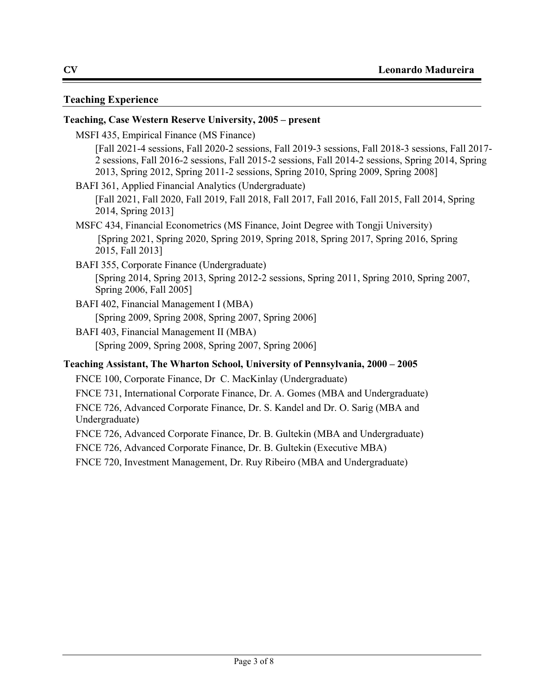# **Teaching Experience**

## **Teaching, Case Western Reserve University, 2005 – present**

- MSFI 435, Empirical Finance (MS Finance)
	- [Fall 2021-4 sessions, Fall 2020-2 sessions, Fall 2019-3 sessions, Fall 2018-3 sessions, Fall 2017- 2 sessions, Fall 2016-2 sessions, Fall 2015-2 sessions, Fall 2014-2 sessions, Spring 2014, Spring 2013, Spring 2012, Spring 2011-2 sessions, Spring 2010, Spring 2009, Spring 2008]
- BAFI 361, Applied Financial Analytics (Undergraduate)

[Fall 2021, Fall 2020, Fall 2019, Fall 2018, Fall 2017, Fall 2016, Fall 2015, Fall 2014, Spring 2014, Spring 2013]

- MSFC 434, Financial Econometrics (MS Finance, Joint Degree with Tongji University) [Spring 2021, Spring 2020, Spring 2019, Spring 2018, Spring 2017, Spring 2016, Spring 2015, Fall 2013]
- BAFI 355, Corporate Finance (Undergraduate) [Spring 2014, Spring 2013, Spring 2012-2 sessions, Spring 2011, Spring 2010, Spring 2007, Spring 2006, Fall 2005]
- BAFI 402, Financial Management I (MBA) [Spring 2009, Spring 2008, Spring 2007, Spring 2006]
- BAFI 403, Financial Management II (MBA) [Spring 2009, Spring 2008, Spring 2007, Spring 2006]

## **Teaching Assistant, The Wharton School, University of Pennsylvania, 2000 – 2005**

FNCE 100, Corporate Finance, Dr C. MacKinlay (Undergraduate)

FNCE 731, International Corporate Finance, Dr. A. Gomes (MBA and Undergraduate)

FNCE 726, Advanced Corporate Finance, Dr. S. Kandel and Dr. O. Sarig (MBA and Undergraduate)

FNCE 726, Advanced Corporate Finance, Dr. B. Gultekin (MBA and Undergraduate)

FNCE 726, Advanced Corporate Finance, Dr. B. Gultekin (Executive MBA)

FNCE 720, Investment Management, Dr. Ruy Ribeiro (MBA and Undergraduate)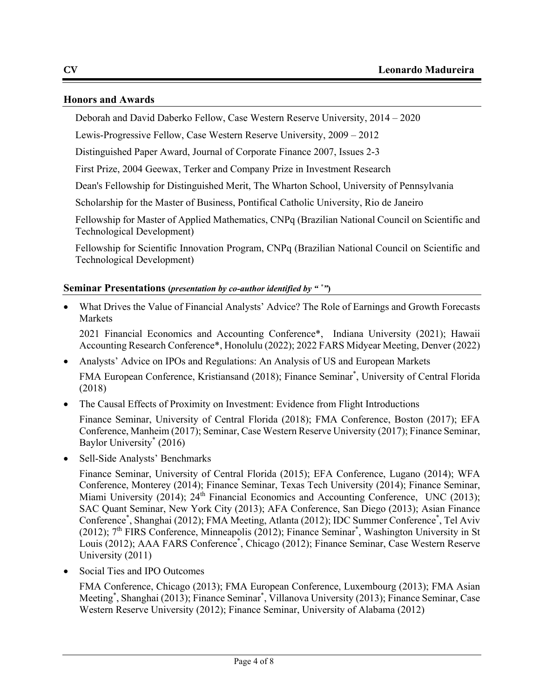#### **Honors and Awards**

Deborah and David Daberko Fellow, Case Western Reserve University, 2014 – 2020

Lewis-Progressive Fellow, Case Western Reserve University, 2009 – 2012

Distinguished Paper Award, Journal of Corporate Finance 2007, Issues 2-3

First Prize, 2004 Geewax, Terker and Company Prize in Investment Research

Dean's Fellowship for Distinguished Merit, The Wharton School, University of Pennsylvania

Scholarship for the Master of Business, Pontifical Catholic University, Rio de Janeiro

Fellowship for Master of Applied Mathematics, CNPq (Brazilian National Council on Scientific and Technological Development)

Fellowship for Scientific Innovation Program, CNPq (Brazilian National Council on Scientific and Technological Development)

#### **Seminar Presentations (***presentation by co-author identified by " \* "***)**

 What Drives the Value of Financial Analysts' Advice? The Role of Earnings and Growth Forecasts Markets

2021 Financial Economics and Accounting Conference\*, Indiana University (2021); Hawaii Accounting Research Conference\*, Honolulu (2022); 2022 FARS Midyear Meeting, Denver (2022)

- Analysts' Advice on IPOs and Regulations: An Analysis of US and European Markets FMA European Conference, Kristiansand (2018); Finance Seminar\* , University of Central Florida (2018)
- The Causal Effects of Proximity on Investment: Evidence from Flight Introductions

Finance Seminar, University of Central Florida (2018); FMA Conference, Boston (2017); EFA Conference, Manheim (2017); Seminar, Case Western Reserve University (2017); Finance Seminar, Baylor University\* (2016)

Sell-Side Analysts' Benchmarks

Finance Seminar, University of Central Florida (2015); EFA Conference, Lugano (2014); WFA Conference, Monterey (2014); Finance Seminar, Texas Tech University (2014); Finance Seminar, Miami University (2014);  $24<sup>th</sup>$  Financial Economics and Accounting Conference, UNC (2013); SAC Quant Seminar, New York City (2013); AFA Conference, San Diego (2013); Asian Finance Conference\*, Shanghai (2012); FMA Meeting, Atlanta (2012); IDC Summer Conference\*, Tel Aviv (2012); 7<sup>th</sup> FIRS Conference, Minneapolis (2012); Finance Seminar<sup>\*</sup>, Washington University in St Louis (2012); AAA FARS Conference\* , Chicago (2012); Finance Seminar, Case Western Reserve University (2011)

• Social Ties and IPO Outcomes

FMA Conference, Chicago (2013); FMA European Conference, Luxembourg (2013); FMA Asian Meeting\* , Shanghai (2013); Finance Seminar\* , Villanova University (2013); Finance Seminar, Case Western Reserve University (2012); Finance Seminar, University of Alabama (2012)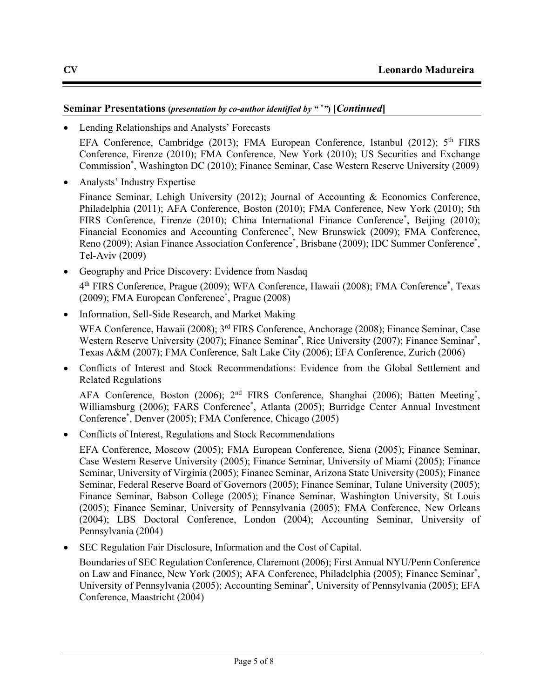### **Seminar Presentations (***presentation by co-author identified by " \* "***) [***Continued***]**

• Lending Relationships and Analysts' Forecasts

EFA Conference, Cambridge (2013); FMA European Conference, Istanbul (2012); 5<sup>th</sup> FIRS Conference, Firenze (2010); FMA Conference, New York (2010); US Securities and Exchange Commission\* , Washington DC (2010); Finance Seminar, Case Western Reserve University (2009)

• Analysts' Industry Expertise

Finance Seminar, Lehigh University (2012); Journal of Accounting & Economics Conference, Philadelphia (2011); AFA Conference, Boston (2010); FMA Conference, New York (2010); 5th FIRS Conference, Firenze (2010); China International Finance Conference<sup>\*</sup>, Beijing (2010); Financial Economics and Accounting Conference<sup>\*</sup>, New Brunswick (2009); FMA Conference, Reno (2009); Asian Finance Association Conference<sup>\*</sup>, Brisbane (2009); IDC Summer Conference<sup>\*</sup>, Tel-Aviv (2009)

- Geography and Price Discovery: Evidence from Nasdaq 4<sup>th</sup> FIRS Conference, Prague (2009); WFA Conference, Hawaii (2008); FMA Conference<sup>\*</sup>, Texas (2009); FMA European Conference\* , Prague (2008)
- Information, Sell-Side Research, and Market Making

WFA Conference, Hawaii (2008); 3<sup>rd</sup> FIRS Conference, Anchorage (2008); Finance Seminar, Case Western Reserve University (2007); Finance Seminar<sup>\*</sup>, Rice University (2007); Finance Seminar<sup>\*</sup>, Texas A&M (2007); FMA Conference, Salt Lake City (2006); EFA Conference, Zurich (2006)

 Conflicts of Interest and Stock Recommendations: Evidence from the Global Settlement and Related Regulations

AFA Conference, Boston (2006); 2<sup>nd</sup> FIRS Conference, Shanghai (2006); Batten Meeting<sup>\*</sup>, Williamsburg (2006); FARS Conference\* , Atlanta (2005); Burridge Center Annual Investment Conference\* , Denver (2005); FMA Conference, Chicago (2005)

• Conflicts of Interest, Regulations and Stock Recommendations

EFA Conference, Moscow (2005); FMA European Conference, Siena (2005); Finance Seminar, Case Western Reserve University (2005); Finance Seminar, University of Miami (2005); Finance Seminar, University of Virginia (2005); Finance Seminar, Arizona State University (2005); Finance Seminar, Federal Reserve Board of Governors (2005); Finance Seminar, Tulane University (2005); Finance Seminar, Babson College (2005); Finance Seminar, Washington University, St Louis (2005); Finance Seminar, University of Pennsylvania (2005); FMA Conference, New Orleans (2004); LBS Doctoral Conference, London (2004); Accounting Seminar, University of Pennsylvania (2004)

SEC Regulation Fair Disclosure, Information and the Cost of Capital.

Boundaries of SEC Regulation Conference, Claremont (2006); First Annual NYU/Penn Conference on Law and Finance, New York (2005); AFA Conference, Philadelphia (2005); Finance Seminar\* , University of Pennsylvania (2005); Accounting Seminar\* , University of Pennsylvania (2005); EFA Conference, Maastricht (2004)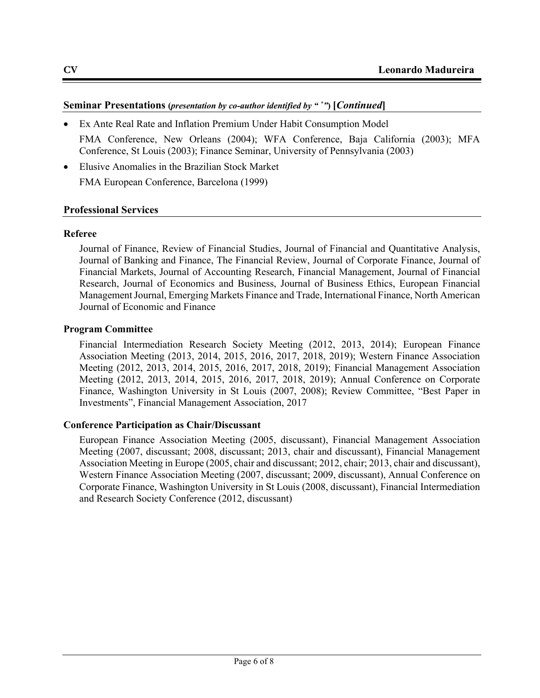### **Seminar Presentations (***presentation by co-author identified by " \* "***) [***Continued***]**

- Ex Ante Real Rate and Inflation Premium Under Habit Consumption Model FMA Conference, New Orleans (2004); WFA Conference, Baja California (2003); MFA Conference, St Louis (2003); Finance Seminar, University of Pennsylvania (2003)
- Elusive Anomalies in the Brazilian Stock Market FMA European Conference, Barcelona (1999)

## **Professional Services**

## **Referee**

Journal of Finance, Review of Financial Studies, Journal of Financial and Quantitative Analysis, Journal of Banking and Finance, The Financial Review, Journal of Corporate Finance, Journal of Financial Markets, Journal of Accounting Research, Financial Management, Journal of Financial Research, Journal of Economics and Business, Journal of Business Ethics, European Financial Management Journal, Emerging Markets Finance and Trade, International Finance, North American Journal of Economic and Finance

## **Program Committee**

Financial Intermediation Research Society Meeting (2012, 2013, 2014); European Finance Association Meeting (2013, 2014, 2015, 2016, 2017, 2018, 2019); Western Finance Association Meeting (2012, 2013, 2014, 2015, 2016, 2017, 2018, 2019); Financial Management Association Meeting (2012, 2013, 2014, 2015, 2016, 2017, 2018, 2019); Annual Conference on Corporate Finance, Washington University in St Louis (2007, 2008); Review Committee, "Best Paper in Investments", Financial Management Association, 2017

## **Conference Participation as Chair/Discussant**

European Finance Association Meeting (2005, discussant), Financial Management Association Meeting (2007, discussant; 2008, discussant; 2013, chair and discussant), Financial Management Association Meeting in Europe (2005, chair and discussant; 2012, chair; 2013, chair and discussant), Western Finance Association Meeting (2007, discussant; 2009, discussant), Annual Conference on Corporate Finance, Washington University in St Louis (2008, discussant), Financial Intermediation and Research Society Conference (2012, discussant)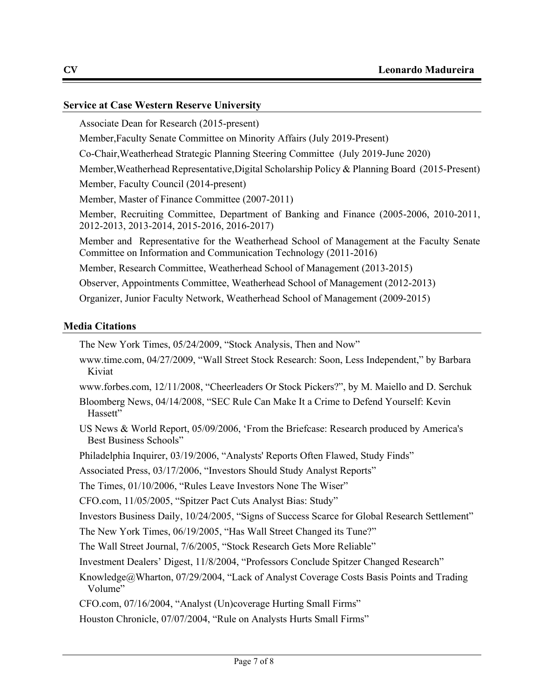### **Service at Case Western Reserve University**

Associate Dean for Research (2015-present) Member,Faculty Senate Committee on Minority Affairs (July 2019-Present) Co-Chair,Weatherhead Strategic Planning Steering Committee (July 2019-June 2020) Member,Weatherhead Representative,Digital Scholarship Policy & Planning Board (2015-Present) Member, Faculty Council (2014-present) Member, Master of Finance Committee (2007-2011) Member, Recruiting Committee, Department of Banking and Finance (2005-2006, 2010-2011, 2012-2013, 2013-2014, 2015-2016, 2016-2017) Member and Representative for the Weatherhead School of Management at the Faculty Senate Committee on Information and Communication Technology (2011-2016) Member, Research Committee, Weatherhead School of Management (2013-2015) Observer, Appointments Committee, Weatherhead School of Management (2012-2013) Organizer, Junior Faculty Network, Weatherhead School of Management (2009-2015)

## **Media Citations**

The New York Times, 05/24/2009, "Stock Analysis, Then and Now"

www.time.com, 04/27/2009, "Wall Street Stock Research: Soon, Less Independent," by Barbara Kiviat

www.forbes.com, 12/11/2008, "Cheerleaders Or Stock Pickers?", by M. Maiello and D. Serchuk

- Bloomberg News, 04/14/2008, "SEC Rule Can Make It a Crime to Defend Yourself: Kevin Hassett"
- US News & World Report, 05/09/2006, 'From the Briefcase: Research produced by America's Best Business Schools"

Philadelphia Inquirer, 03/19/2006, "Analysts' Reports Often Flawed, Study Finds"

Associated Press, 03/17/2006, "Investors Should Study Analyst Reports"

The Times, 01/10/2006, "Rules Leave Investors None The Wiser"

CFO.com, 11/05/2005, "Spitzer Pact Cuts Analyst Bias: Study"

Investors Business Daily, 10/24/2005, "Signs of Success Scarce for Global Research Settlement"

The New York Times, 06/19/2005, "Has Wall Street Changed its Tune?"

The Wall Street Journal, 7/6/2005, "Stock Research Gets More Reliable"

Investment Dealers' Digest, 11/8/2004, "Professors Conclude Spitzer Changed Research"

Knowledge@Wharton, 07/29/2004, "Lack of Analyst Coverage Costs Basis Points and Trading Volume"

CFO.com, 07/16/2004, "Analyst (Un)coverage Hurting Small Firms"

Houston Chronicle, 07/07/2004, "Rule on Analysts Hurts Small Firms"